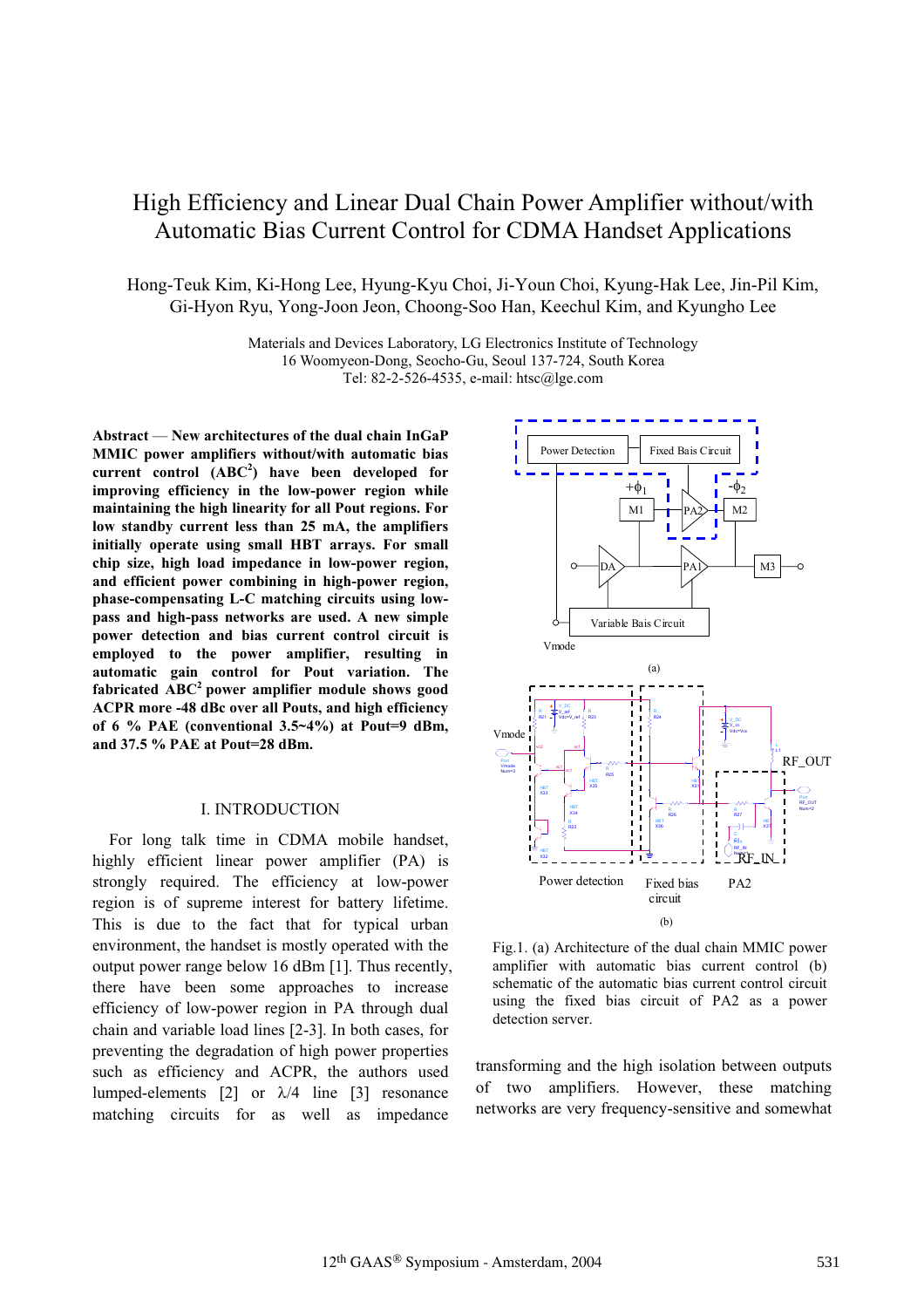# High Efficiency and Linear Dual Chain Power Amplifier without/with Automatic Bias Current Control for CDMA Handset Applications

Hong-Teuk Kim, Ki-Hong Lee, Hyung-Kyu Choi, Ji-Youn Choi, Kyung-Hak Lee, Jin-Pil Kim, Gi-Hyon Ryu, Yong-Joon Jeon, Choong-Soo Han, Keechul Kim, and Kyungho Lee

> Materials and Devices Laboratory, LG Electronics Institute of Technology 16 Woomyeon-Dong, Seocho-Gu, Seoul 137-724, South Korea Tel: 82-2-526-4535, e-mail: htsc@lge.com

**Abstract** — **New architectures of the dual chain InGaP MMIC power amplifiers without/with automatic bias current control (ABC<sup>2</sup> ) have been developed for improving efficiency in the low-power region while maintaining the high linearity for all Pout regions. For low standby current less than 25 mA, the amplifiers initially operate using small HBT arrays. For small chip size, high load impedance in low-power region, and efficient power combining in high-power region, phase-compensating L-C matching circuits using lowpass and high-pass networks are used. A new simple power detection and bias current control circuit is employed to the power amplifier, resulting in automatic gain control for Pout variation. The fabricated ABC<sup>2</sup> power amplifier module shows good ACPR more -48 dBc over all Pouts, and high efficiency of 6 % PAE (conventional 3.5~4%) at Pout=9 dBm, and 37.5 % PAE at Pout=28 dBm.**

#### I. INTRODUCTION

For long talk time in CDMA mobile handset, highly efficient linear power amplifier (PA) is strongly required. The efficiency at low-power region is of supreme interest for battery lifetime. This is due to the fact that for typical urban environment, the handset is mostly operated with the output power range below 16 dBm [1]. Thus recently, there have been some approaches to increase efficiency of low-power region in PA through dual chain and variable load lines [2-3]. In both cases, for preventing the degradation of high power properties such as efficiency and ACPR, the authors used lumped-elements [2] or  $\lambda$ /4 line [3] resonance matching circuits for as well as impedance



Fig.1. (a) Architecture of the dual chain MMIC power amplifier with automatic bias current control (b) schematic of the automatic bias current control circuit using the fixed bias circuit of PA2 as a power detection server.

transforming and the high isolation between outputs of two amplifiers. However, these matching networks are very frequency-sensitive and somewhat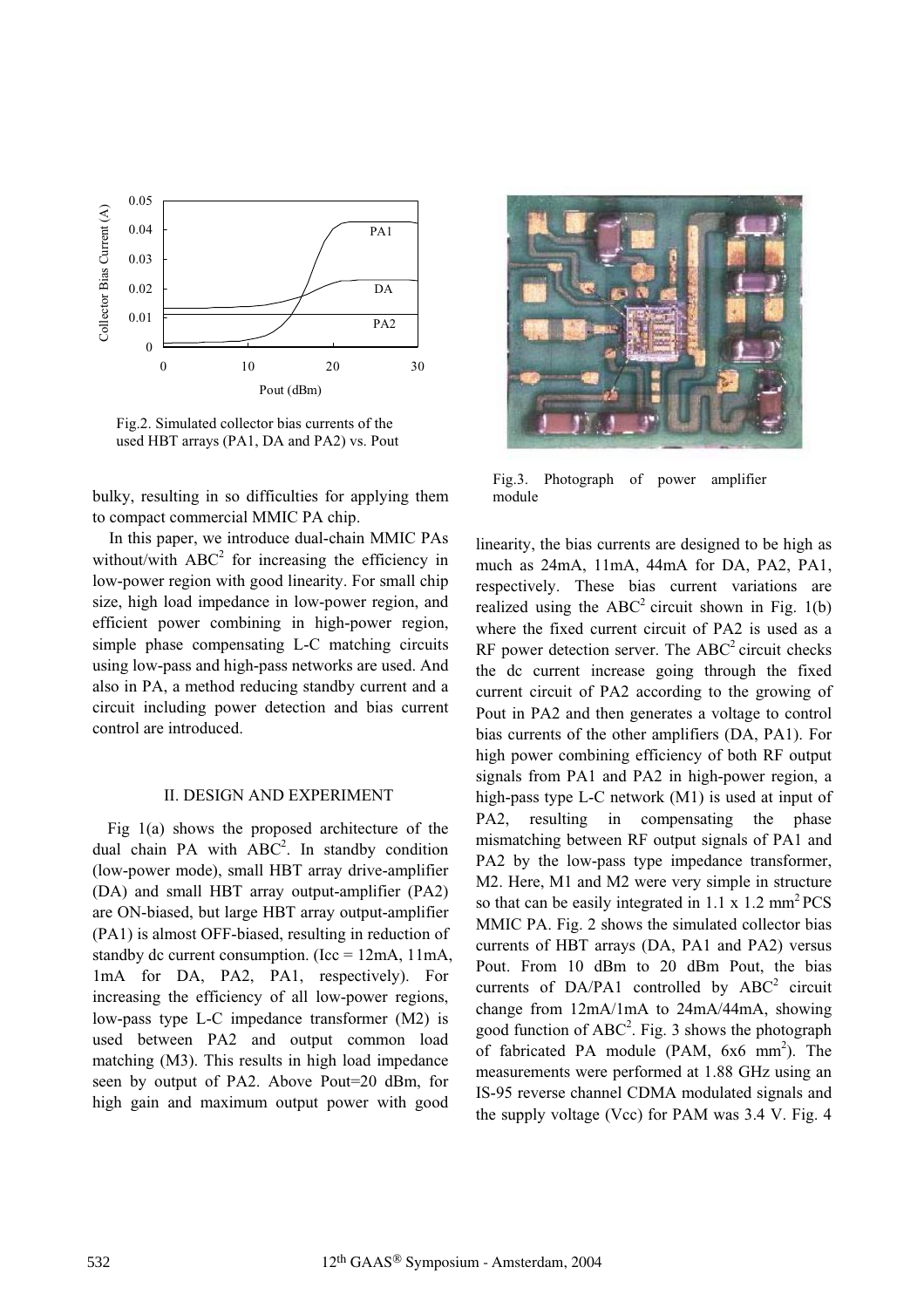

Fig.2. Simulated collector bias currents of the used HBT arrays (PA1, DA and PA2) vs. Pout

bulky, resulting in so difficulties for applying them to compact commercial MMIC PA chip.

In this paper, we introduce dual-chain MMIC PAs without/with  $ABC^2$  for increasing the efficiency in low-power region with good linearity. For small chip size, high load impedance in low-power region, and efficient power combining in high-power region, simple phase compensating L-C matching circuits using low-pass and high-pass networks are used. And also in PA, a method reducing standby current and a circuit including power detection and bias current control are introduced.

## II. DESIGN AND EXPERIMENT

Fig 1(a) shows the proposed architecture of the dual chain PA with  $ABC^2$ . In standby condition (low-power mode), small HBT array drive-amplifier (DA) and small HBT array output-amplifier (PA2) are ON-biased, but large HBT array output-amplifier (PA1) is almost OFF-biased, resulting in reduction of standby dc current consumption. (Icc =  $12mA$ ,  $11mA$ , 1mA for DA, PA2, PA1, respectively). For increasing the efficiency of all low-power regions, low-pass type L-C impedance transformer (M2) is used between PA2 and output common load matching (M3). This results in high load impedance seen by output of PA2. Above Pout=20 dBm, for high gain and maximum output power with good



Fig.3. Photograph of power amplifier module

linearity, the bias currents are designed to be high as much as 24mA, 11mA, 44mA for DA, PA2, PA1, respectively. These bias current variations are realized using the  $ABC^2$  circuit shown in Fig. 1(b) where the fixed current circuit of PA2 is used as a  $RF$  power detection server. The  $ABC<sup>2</sup>$  circuit checks the dc current increase going through the fixed current circuit of PA2 according to the growing of Pout in PA2 and then generates a voltage to control bias currents of the other amplifiers (DA, PA1). For high power combining efficiency of both RF output signals from PA1 and PA2 in high-power region, a high-pass type L-C network (M1) is used at input of PA2, resulting in compensating the phase mismatching between RF output signals of PA1 and PA2 by the low-pass type impedance transformer, M2. Here, M1 and M2 were very simple in structure so that can be easily integrated in 1.1 x 1.2 mm<sup>2</sup> PCS MMIC PA. Fig. 2 shows the simulated collector bias currents of HBT arrays (DA, PA1 and PA2) versus Pout. From 10 dBm to 20 dBm Pout, the bias currents of DA/PA1 controlled by  $ABC^2$  circuit change from 12mA/1mA to 24mA/44mA, showing good function of  $ABC^2$ . Fig. 3 shows the photograph of fabricated PA module (PAM,  $6x6 \text{ mm}^2$ ). The measurements were performed at 1.88 GHz using an IS-95 reverse channel CDMA modulated signals and the supply voltage (Vcc) for PAM was 3.4 V. Fig. 4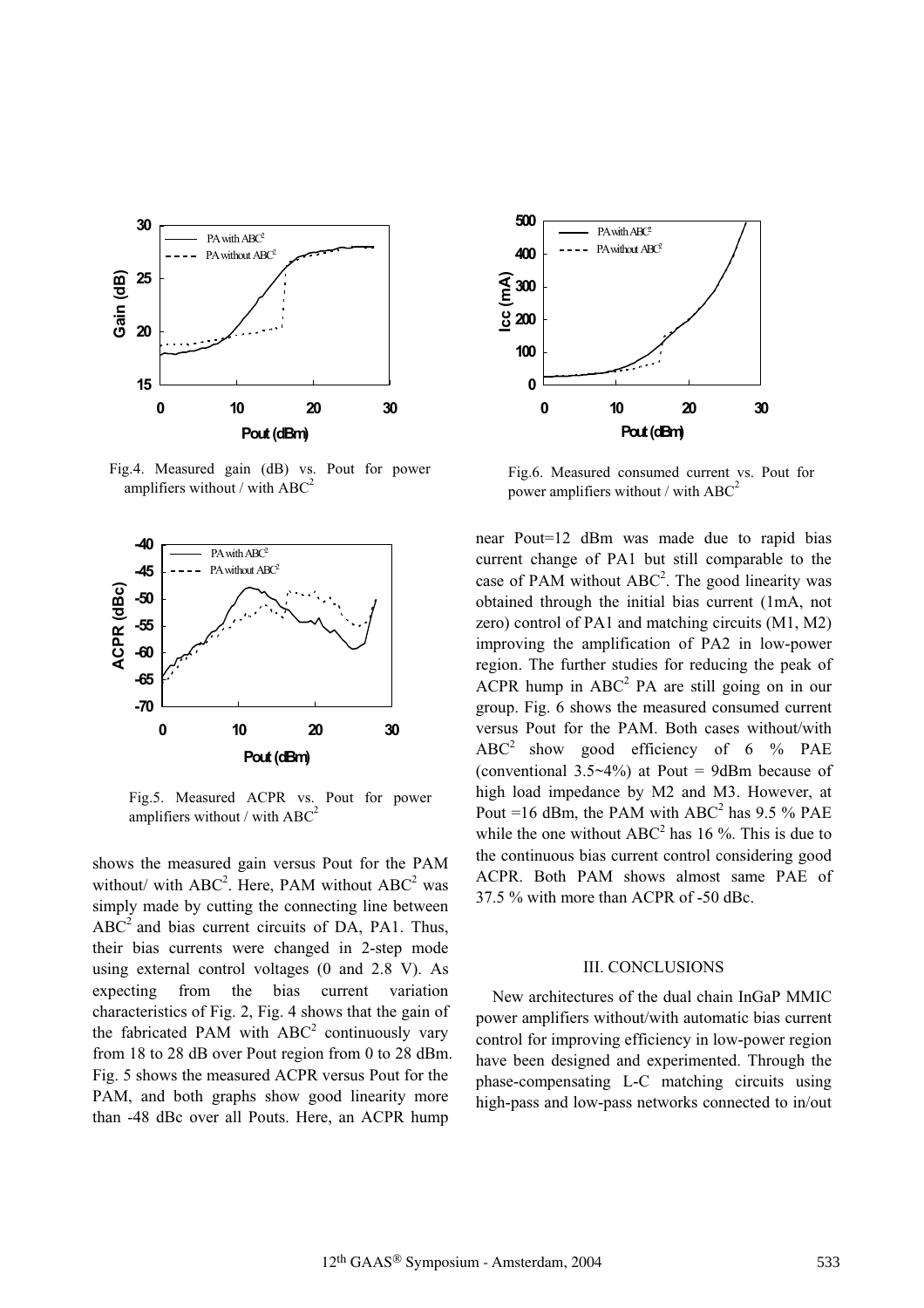

Fig.4. Measured gain (dB) vs. Pout for power amplifiers without / with  $ABC$ 



Fig.5. Measured ACPR vs. Pout for power amplifiers without / with  $ABC^2$ 

shows the measured gain versus Pout for the PAM without/ with  $ABC^2$ . Here, PAM without  $ABC^2$  was simply made by cutting the connecting line between  $ABC<sup>2</sup>$  and bias current circuits of DA, PA1. Thus, their bias currents were changed in 2-step mode using external control voltages (0 and 2.8 V). As expecting from the bias current variation characteristics of Fig. 2, Fig. 4 shows that the gain of the fabricated PAM with  $ABC^2$  continuously vary from 18 to 28 dB over Pout region from 0 to 28 dBm. Fig. 5 shows the measured ACPR versus Pout for the PAM, and both graphs show good linearity more than -48 dBc over all Pouts. Here, an ACPR hump



Fig.6. Measured consumed current vs. Pout for power amplifiers without / with  $ABC^2$ 

near Pout=12 dBm was made due to rapid bias current change of PA1 but still comparable to the case of PAM without  $ABC^2$ . The good linearity was obtained through the initial bias current (1mA, not zero) control of PA1 and matching circuits (M1, M2) improving the amplification of PA2 in low-power region. The further studies for reducing the peak of ACPR hump in  $ABC^2$  PA are still going on in our group. Fig. 6 shows the measured consumed current versus Pout for the PAM. Both cases without/with ABC2 show good efficiency of 6 % PAE (conventional  $3.5~4\%$ ) at Pout = 9dBm because of high load impedance by M2 and M3. However, at Pout =16 dBm, the PAM with  $ABC^2$  has 9.5 % PAE while the one without  $ABC^2$  has 16 %. This is due to the continuous bias current control considering good ACPR. Both PAM shows almost same PAE of 37.5 % with more than ACPR of -50 dBc.

#### III. CONCLUSIONS

New architectures of the dual chain InGaP MMIC power amplifiers without/with automatic bias current control for improving efficiency in low-power region have been designed and experimented. Through the phase-compensating L-C matching circuits using high-pass and low-pass networks connected to in/out